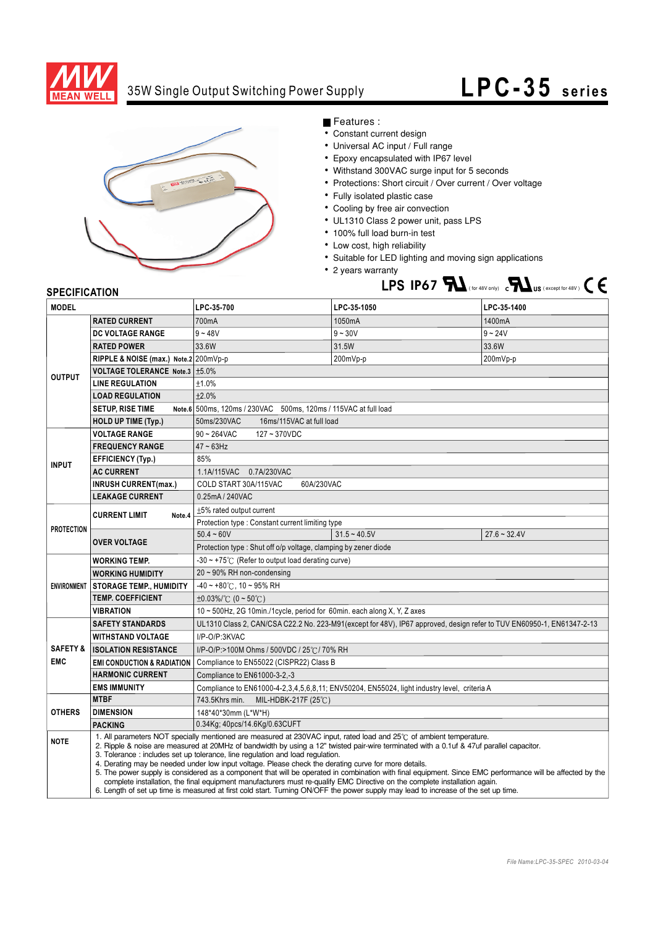

## 35W Single Output Switching Power Supply

## **LPC- 35 series**



Features :

- Constant current design
- Universal AC input / Full range
- Epoxy encapsulated with IP67 level
- Withstand 300VAC surge input for 5 seconds
- Protections: Short circuit / Over current / Over voltage
- Fully isolated plastic case
- Cooling by free air convection
- UL1310 Class 2 power unit, pass LPS
- 100% full load burn-in test
- Low cost, high reliability
- Suitable for LED lighting and moving sign applications
- 2 years warranty **LPS IP67**  $\sum$  (for 48V only)  $\sum$  **L** US (except for 48V)  $\subset \bigcup$

## **SPECIFICATION**

| <b>MODEL</b>                      |                                                                                                                                                                                                                                                                                                                                                                                                                                                                                                                                                                                                                                                                                                                                                                                                                                                                                           | LPC-35-700                                                                                                            | LPC-35-1050    | LPC-35-1400    |
|-----------------------------------|-------------------------------------------------------------------------------------------------------------------------------------------------------------------------------------------------------------------------------------------------------------------------------------------------------------------------------------------------------------------------------------------------------------------------------------------------------------------------------------------------------------------------------------------------------------------------------------------------------------------------------------------------------------------------------------------------------------------------------------------------------------------------------------------------------------------------------------------------------------------------------------------|-----------------------------------------------------------------------------------------------------------------------|----------------|----------------|
| <b>OUTPUT</b>                     | <b>RATED CURRENT</b>                                                                                                                                                                                                                                                                                                                                                                                                                                                                                                                                                                                                                                                                                                                                                                                                                                                                      | 700mA                                                                                                                 | 1050mA         | 1400mA         |
|                                   | <b>DC VOLTAGE RANGE</b>                                                                                                                                                                                                                                                                                                                                                                                                                                                                                                                                                                                                                                                                                                                                                                                                                                                                   | $9 - 48V$                                                                                                             | $9 - 30V$      | $9 - 24V$      |
|                                   | <b>RATED POWER</b>                                                                                                                                                                                                                                                                                                                                                                                                                                                                                                                                                                                                                                                                                                                                                                                                                                                                        | 33.6W                                                                                                                 | 31.5W          | 33.6W          |
|                                   | RIPPLE & NOISE (max.) Note.2 200mVp-p                                                                                                                                                                                                                                                                                                                                                                                                                                                                                                                                                                                                                                                                                                                                                                                                                                                     |                                                                                                                       | 200mVp-p       | 200mVp-p       |
|                                   | VOLTAGE TOLERANCE Note.3   ±5.0%                                                                                                                                                                                                                                                                                                                                                                                                                                                                                                                                                                                                                                                                                                                                                                                                                                                          |                                                                                                                       |                |                |
|                                   | <b>LINE REGULATION</b>                                                                                                                                                                                                                                                                                                                                                                                                                                                                                                                                                                                                                                                                                                                                                                                                                                                                    | ±1.0%                                                                                                                 |                |                |
|                                   | <b>LOAD REGULATION</b>                                                                                                                                                                                                                                                                                                                                                                                                                                                                                                                                                                                                                                                                                                                                                                                                                                                                    | $+2.0%$                                                                                                               |                |                |
|                                   | <b>SETUP, RISE TIME</b>                                                                                                                                                                                                                                                                                                                                                                                                                                                                                                                                                                                                                                                                                                                                                                                                                                                                   | Note.6 500ms, 120ms / 230VAC 500ms, 120ms / 115VAC at full load                                                       |                |                |
|                                   | <b>HOLD UP TIME (Typ.)</b>                                                                                                                                                                                                                                                                                                                                                                                                                                                                                                                                                                                                                                                                                                                                                                                                                                                                | 50ms/230VAC<br>16ms/115VAC at full load                                                                               |                |                |
| <b>INPUT</b>                      | <b>VOLTAGE RANGE</b>                                                                                                                                                                                                                                                                                                                                                                                                                                                                                                                                                                                                                                                                                                                                                                                                                                                                      | $90 - 264$ VAC<br>127~370VDC                                                                                          |                |                |
|                                   | <b>FREQUENCY RANGE</b>                                                                                                                                                                                                                                                                                                                                                                                                                                                                                                                                                                                                                                                                                                                                                                                                                                                                    | $47 \sim 63$ Hz                                                                                                       |                |                |
|                                   | <b>EFFICIENCY (Typ.)</b>                                                                                                                                                                                                                                                                                                                                                                                                                                                                                                                                                                                                                                                                                                                                                                                                                                                                  | 85%                                                                                                                   |                |                |
|                                   | <b>AC CURRENT</b>                                                                                                                                                                                                                                                                                                                                                                                                                                                                                                                                                                                                                                                                                                                                                                                                                                                                         | 1.1A/115VAC 0.7A/230VAC                                                                                               |                |                |
|                                   | <b>INRUSH CURRENT(max.)</b>                                                                                                                                                                                                                                                                                                                                                                                                                                                                                                                                                                                                                                                                                                                                                                                                                                                               | COLD START 30A/115VAC<br>60A/230VAC                                                                                   |                |                |
|                                   | <b>LEAKAGE CURRENT</b>                                                                                                                                                                                                                                                                                                                                                                                                                                                                                                                                                                                                                                                                                                                                                                                                                                                                    | 0.25mA / 240VAC                                                                                                       |                |                |
| <b>PROTECTION</b>                 | <b>CURRENT LIMIT</b><br>Note.4                                                                                                                                                                                                                                                                                                                                                                                                                                                                                                                                                                                                                                                                                                                                                                                                                                                            | $±5\%$ rated output current                                                                                           |                |                |
|                                   |                                                                                                                                                                                                                                                                                                                                                                                                                                                                                                                                                                                                                                                                                                                                                                                                                                                                                           | Protection type : Constant current limiting type                                                                      |                |                |
|                                   | <b>OVER VOLTAGE</b>                                                                                                                                                                                                                                                                                                                                                                                                                                                                                                                                                                                                                                                                                                                                                                                                                                                                       | $50.4 - 60V$                                                                                                          | $31.5 - 40.5V$ | $27.6 - 32.4V$ |
|                                   |                                                                                                                                                                                                                                                                                                                                                                                                                                                                                                                                                                                                                                                                                                                                                                                                                                                                                           | Protection type: Shut off o/p voltage, clamping by zener diode                                                        |                |                |
|                                   | <b>WORKING TEMP.</b>                                                                                                                                                                                                                                                                                                                                                                                                                                                                                                                                                                                                                                                                                                                                                                                                                                                                      | -30 ~ +75°C (Refer to output load derating curve)                                                                     |                |                |
|                                   | <b>WORKING HUMIDITY</b>                                                                                                                                                                                                                                                                                                                                                                                                                                                                                                                                                                                                                                                                                                                                                                                                                                                                   | $20 \sim 90\%$ RH non-condensing                                                                                      |                |                |
|                                   | ENVIRONMENT   STORAGE TEMP., HUMIDITY                                                                                                                                                                                                                                                                                                                                                                                                                                                                                                                                                                                                                                                                                                                                                                                                                                                     | $-40 \sim +80^{\circ}$ C, 10 ~ 95% RH                                                                                 |                |                |
|                                   | <b>TEMP. COEFFICIENT</b>                                                                                                                                                                                                                                                                                                                                                                                                                                                                                                                                                                                                                                                                                                                                                                                                                                                                  | $\pm 0.03\%$ /°C (0 ~ 50°C)                                                                                           |                |                |
|                                   | <b>VIBRATION</b>                                                                                                                                                                                                                                                                                                                                                                                                                                                                                                                                                                                                                                                                                                                                                                                                                                                                          | 10 ~ 500Hz, 2G 10min./1cycle, period for 60min. each along X, Y, Z axes                                               |                |                |
| <b>SAFETY &amp;</b><br><b>EMC</b> | <b>SAFETY STANDARDS</b>                                                                                                                                                                                                                                                                                                                                                                                                                                                                                                                                                                                                                                                                                                                                                                                                                                                                   | UL1310 Class 2, CAN/CSA C22.2 No. 223-M91(except for 48V), IP67 approved, design refer to TUV EN60950-1, EN61347-2-13 |                |                |
|                                   | <b>WITHSTAND VOLTAGE</b>                                                                                                                                                                                                                                                                                                                                                                                                                                                                                                                                                                                                                                                                                                                                                                                                                                                                  | I/P-O/P:3KVAC                                                                                                         |                |                |
|                                   | <b>ISOLATION RESISTANCE</b>                                                                                                                                                                                                                                                                                                                                                                                                                                                                                                                                                                                                                                                                                                                                                                                                                                                               | I/P-O/P:>100M Ohms / 500VDC / 25°C / 70% RH                                                                           |                |                |
|                                   | <b>EMI CONDUCTION &amp; RADIATION</b>                                                                                                                                                                                                                                                                                                                                                                                                                                                                                                                                                                                                                                                                                                                                                                                                                                                     | Compliance to EN55022 (CISPR22) Class B                                                                               |                |                |
|                                   | <b>HARMONIC CURRENT</b>                                                                                                                                                                                                                                                                                                                                                                                                                                                                                                                                                                                                                                                                                                                                                                                                                                                                   | Compliance to EN61000-3-2,-3                                                                                          |                |                |
|                                   | <b>EMS IMMUNITY</b>                                                                                                                                                                                                                                                                                                                                                                                                                                                                                                                                                                                                                                                                                                                                                                                                                                                                       | Compliance to EN61000-4-2,3,4,5,6,8,11; ENV50204, EN55024, light industry level, criteria A                           |                |                |
| <b>OTHERS</b>                     | <b>MTBF</b>                                                                                                                                                                                                                                                                                                                                                                                                                                                                                                                                                                                                                                                                                                                                                                                                                                                                               | 743.5Khrs min.<br>MIL-HDBK-217F (25°C)                                                                                |                |                |
|                                   | <b>DIMENSION</b>                                                                                                                                                                                                                                                                                                                                                                                                                                                                                                                                                                                                                                                                                                                                                                                                                                                                          | 148*40*30mm (L*W*H)                                                                                                   |                |                |
|                                   | <b>PACKING</b>                                                                                                                                                                                                                                                                                                                                                                                                                                                                                                                                                                                                                                                                                                                                                                                                                                                                            | 0.34Kg; 40pcs/14.6Kg/0.63CUFT                                                                                         |                |                |
| <b>NOTE</b>                       | 1. All parameters NOT specially mentioned are measured at 230VAC input, rated load and 25°C of ambient temperature.<br>2. Ripple & noise are measured at 20MHz of bandwidth by using a 12" twisted pair-wire terminated with a 0.1uf & 47uf parallel capacitor.<br>3. Tolerance: includes set up tolerance, line regulation and load regulation.<br>4. Derating may be needed under low input voltage. Please check the derating curve for more details.<br>5. The power supply is considered as a component that will be operated in combination with final equipment. Since EMC performance will be affected by the<br>complete installation, the final equipment manufacturers must re-qualify EMC Directive on the complete installation again.<br>6. Length of set up time is measured at first cold start. Turning ON/OFF the power supply may lead to increase of the set up time. |                                                                                                                       |                |                |